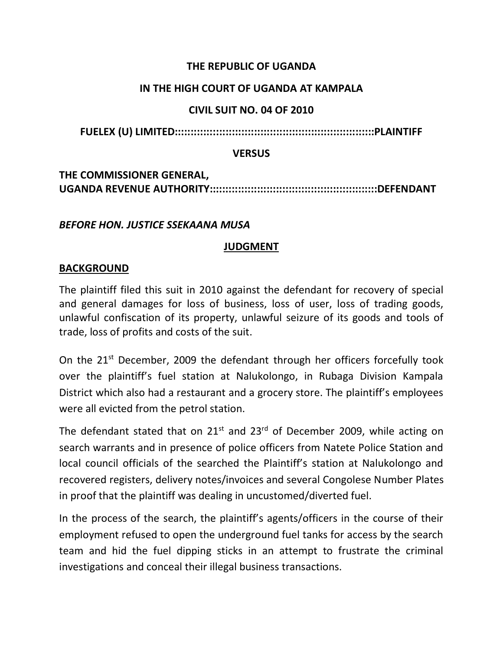## **THE REPUBLIC OF UGANDA**

#### **IN THE HIGH COURT OF UGANDA AT KAMPALA**

#### **CIVIL SUIT NO. 04 OF 2010**

**FUELEX (U) LIMITED:::::::::::::::::::::::::::::::::::::::::::::::::::::::::::::::PLAINTIFF**

#### **VERSUS**

# **THE COMMISSIONER GENERAL, UGANDA REVENUE AUTHORITY:::::::::::::::::::::::::::::::::::::::::::::::::::::DEFENDANT**

#### *BEFORE HON. JUSTICE SSEKAANA MUSA*

## **JUDGMENT**

#### **BACKGROUND**

The plaintiff filed this suit in 2010 against the defendant for recovery of special and general damages for loss of business, loss of user, loss of trading goods, unlawful confiscation of its property, unlawful seizure of its goods and tools of trade, loss of profits and costs of the suit.

On the 21<sup>st</sup> December, 2009 the defendant through her officers forcefully took over the plaintiff's fuel station at Nalukolongo, in Rubaga Division Kampala District which also had a restaurant and a grocery store. The plaintiff's employees were all evicted from the petrol station.

The defendant stated that on  $21^{st}$  and  $23^{rd}$  of December 2009, while acting on search warrants and in presence of police officers from Natete Police Station and local council officials of the searched the Plaintiff's station at Nalukolongo and recovered registers, delivery notes/invoices and several Congolese Number Plates in proof that the plaintiff was dealing in uncustomed/diverted fuel.

In the process of the search, the plaintiff's agents/officers in the course of their employment refused to open the underground fuel tanks for access by the search team and hid the fuel dipping sticks in an attempt to frustrate the criminal investigations and conceal their illegal business transactions.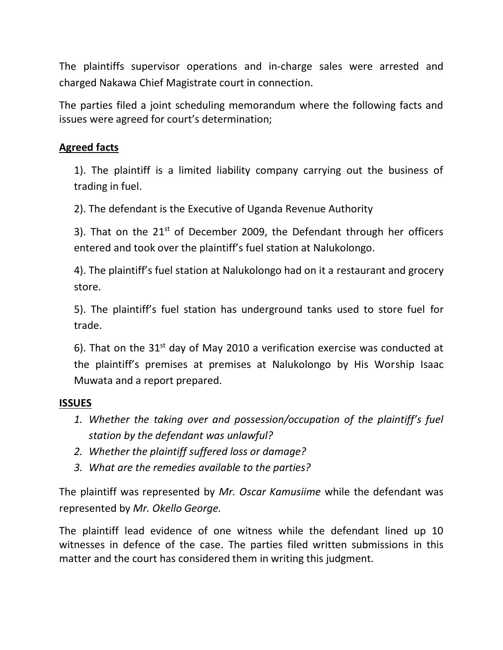The plaintiffs supervisor operations and in-charge sales were arrested and charged Nakawa Chief Magistrate court in connection.

The parties filed a joint scheduling memorandum where the following facts and issues were agreed for court's determination;

## **Agreed facts**

1). The plaintiff is a limited liability company carrying out the business of trading in fuel.

2). The defendant is the Executive of Uganda Revenue Authority

3). That on the  $21<sup>st</sup>$  of December 2009, the Defendant through her officers entered and took over the plaintiff's fuel station at Nalukolongo.

4). The plaintiff's fuel station at Nalukolongo had on it a restaurant and grocery store.

5). The plaintiff's fuel station has underground tanks used to store fuel for trade.

6). That on the  $31<sup>st</sup>$  day of May 2010 a verification exercise was conducted at the plaintiff's premises at premises at Nalukolongo by His Worship Isaac Muwata and a report prepared.

## **ISSUES**

- *1. Whether the taking over and possession/occupation of the plaintiff's fuel station by the defendant was unlawful?*
- *2. Whether the plaintiff suffered loss or damage?*
- *3. What are the remedies available to the parties?*

The plaintiff was represented by *Mr. Oscar Kamusiime* while the defendant was represented by *Mr. Okello George.*

The plaintiff lead evidence of one witness while the defendant lined up 10 witnesses in defence of the case. The parties filed written submissions in this matter and the court has considered them in writing this judgment.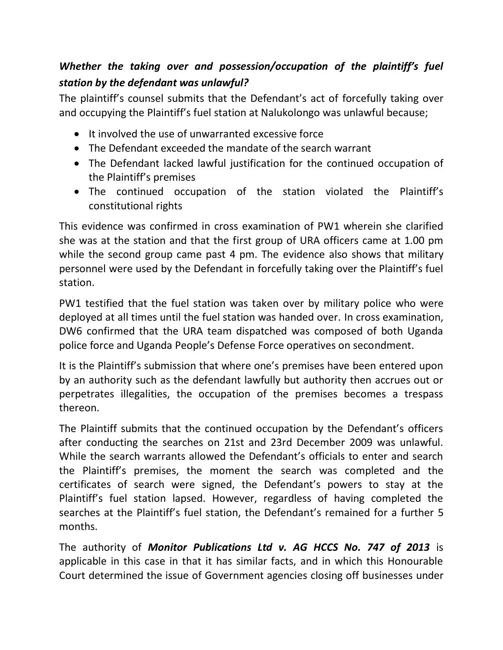# *Whether the taking over and possession/occupation of the plaintiff's fuel station by the defendant was unlawful?*

The plaintiff's counsel submits that the Defendant's act of forcefully taking over and occupying the Plaintiff's fuel station at Nalukolongo was unlawful because;

- It involved the use of unwarranted excessive force
- The Defendant exceeded the mandate of the search warrant
- The Defendant lacked lawful justification for the continued occupation of the Plaintiff's premises
- The continued occupation of the station violated the Plaintiff's constitutional rights

This evidence was confirmed in cross examination of PW1 wherein she clarified she was at the station and that the first group of URA officers came at 1.00 pm while the second group came past 4 pm. The evidence also shows that military personnel were used by the Defendant in forcefully taking over the Plaintiff's fuel station.

PW1 testified that the fuel station was taken over by military police who were deployed at all times until the fuel station was handed over. In cross examination, DW6 confirmed that the URA team dispatched was composed of both Uganda police force and Uganda People's Defense Force operatives on secondment.

It is the Plaintiff's submission that where one's premises have been entered upon by an authority such as the defendant lawfully but authority then accrues out or perpetrates illegalities, the occupation of the premises becomes a trespass thereon.

The Plaintiff submits that the continued occupation by the Defendant's officers after conducting the searches on 21st and 23rd December 2009 was unlawful. While the search warrants allowed the Defendant's officials to enter and search the Plaintiff's premises, the moment the search was completed and the certificates of search were signed, the Defendant's powers to stay at the Plaintiff's fuel station lapsed. However, regardless of having completed the searches at the Plaintiff's fuel station, the Defendant's remained for a further 5 months.

The authority of *Monitor Publications Ltd v. AG HCCS No. 747 of 2013* is applicable in this case in that it has similar facts, and in which this Honourable Court determined the issue of Government agencies closing off businesses under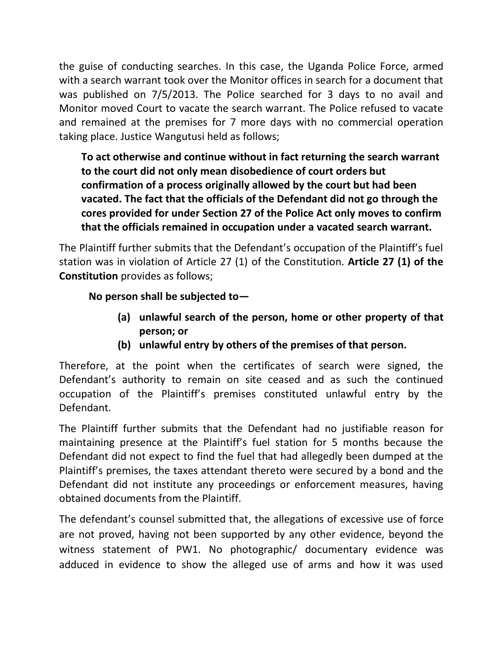the guise of conducting searches. In this case, the Uganda Police Force, armed with a search warrant took over the Monitor offices in search for a document that was published on 7/5/2013. The Police searched for 3 days to no avail and Monitor moved Court to vacate the search warrant. The Police refused to vacate and remained at the premises for 7 more days with no commercial operation taking place. Justice Wangutusi held as follows;

**To act otherwise and continue without in fact returning the search warrant to the court did not only mean disobedience of court orders but confirmation of a process originally allowed by the court but had been vacated. The fact that the officials of the Defendant did not go through the cores provided for under Section 27 of the Police Act only moves to confirm that the officials remained in occupation under a vacated search warrant.**

The Plaintiff further submits that the Defendant's occupation of the Plaintiff's fuel station was in violation of Article 27 (1) of the Constitution. **Article 27 (1) of the Constitution** provides as follows;

# **No person shall be subjected to—**

- **(a) unlawful search of the person, home or other property of that person; or**
- **(b) unlawful entry by others of the premises of that person.**

Therefore, at the point when the certificates of search were signed, the Defendant's authority to remain on site ceased and as such the continued occupation of the Plaintiff's premises constituted unlawful entry by the Defendant.

The Plaintiff further submits that the Defendant had no justifiable reason for maintaining presence at the Plaintiff's fuel station for 5 months because the Defendant did not expect to find the fuel that had allegedly been dumped at the Plaintiff's premises, the taxes attendant thereto were secured by a bond and the Defendant did not institute any proceedings or enforcement measures, having obtained documents from the Plaintiff.

The defendant's counsel submitted that, the allegations of excessive use of force are not proved, having not been supported by any other evidence, beyond the witness statement of PW1. No photographic/ documentary evidence was adduced in evidence to show the alleged use of arms and how it was used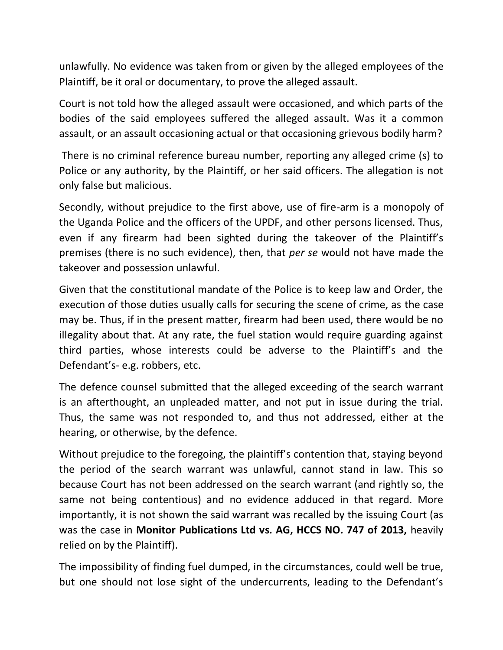unlawfully. No evidence was taken from or given by the alleged employees of the Plaintiff, be it oral or documentary, to prove the alleged assault.

Court is not told how the alleged assault were occasioned, and which parts of the bodies of the said employees suffered the alleged assault. Was it a common assault, or an assault occasioning actual or that occasioning grievous bodily harm?

There is no criminal reference bureau number, reporting any alleged crime (s) to Police or any authority, by the Plaintiff, or her said officers. The allegation is not only false but malicious.

Secondly, without prejudice to the first above, use of fire-arm is a monopoly of the Uganda Police and the officers of the UPDF, and other persons licensed. Thus, even if any firearm had been sighted during the takeover of the Plaintiff's premises (there is no such evidence), then, that *per se* would not have made the takeover and possession unlawful.

Given that the constitutional mandate of the Police is to keep law and Order, the execution of those duties usually calls for securing the scene of crime, as the case may be. Thus, if in the present matter, firearm had been used, there would be no illegality about that. At any rate, the fuel station would require guarding against third parties, whose interests could be adverse to the Plaintiff's and the Defendant's- e.g. robbers, etc.

The defence counsel submitted that the alleged exceeding of the search warrant is an afterthought, an unpleaded matter, and not put in issue during the trial. Thus, the same was not responded to, and thus not addressed, either at the hearing, or otherwise, by the defence.

Without prejudice to the foregoing, the plaintiff's contention that, staying beyond the period of the search warrant was unlawful, cannot stand in law. This so because Court has not been addressed on the search warrant (and rightly so, the same not being contentious) and no evidence adduced in that regard. More importantly, it is not shown the said warrant was recalled by the issuing Court (as was the case in **Monitor Publications Ltd vs. AG, HCCS NO. 747 of 2013,** heavily relied on by the Plaintiff).

The impossibility of finding fuel dumped, in the circumstances, could well be true, but one should not lose sight of the undercurrents, leading to the Defendant's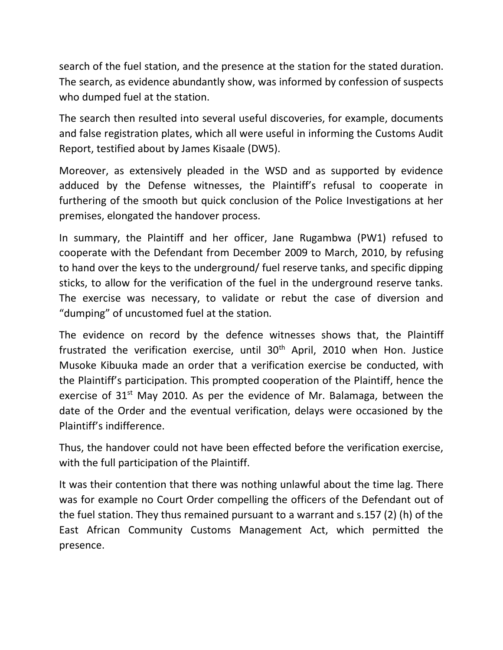search of the fuel station, and the presence at the station for the stated duration. The search, as evidence abundantly show, was informed by confession of suspects who dumped fuel at the station.

The search then resulted into several useful discoveries, for example, documents and false registration plates, which all were useful in informing the Customs Audit Report, testified about by James Kisaale (DW5).

Moreover, as extensively pleaded in the WSD and as supported by evidence adduced by the Defense witnesses, the Plaintiff's refusal to cooperate in furthering of the smooth but quick conclusion of the Police Investigations at her premises, elongated the handover process.

In summary, the Plaintiff and her officer, Jane Rugambwa (PW1) refused to cooperate with the Defendant from December 2009 to March, 2010, by refusing to hand over the keys to the underground/ fuel reserve tanks, and specific dipping sticks, to allow for the verification of the fuel in the underground reserve tanks. The exercise was necessary, to validate or rebut the case of diversion and "dumping" of uncustomed fuel at the station.

The evidence on record by the defence witnesses shows that, the Plaintiff frustrated the verification exercise, until  $30<sup>th</sup>$  April, 2010 when Hon. Justice Musoke Kibuuka made an order that a verification exercise be conducted, with the Plaintiff's participation. This prompted cooperation of the Plaintiff, hence the exercise of  $31<sup>st</sup>$  May 2010. As per the evidence of Mr. Balamaga, between the date of the Order and the eventual verification, delays were occasioned by the Plaintiff's indifference.

Thus, the handover could not have been effected before the verification exercise, with the full participation of the Plaintiff.

It was their contention that there was nothing unlawful about the time lag. There was for example no Court Order compelling the officers of the Defendant out of the fuel station. They thus remained pursuant to a warrant and s.157 (2) (h) of the East African Community Customs Management Act, which permitted the presence.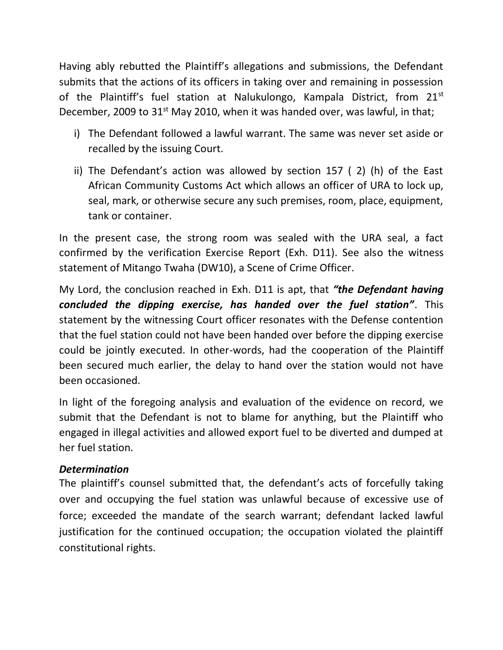Having ably rebutted the Plaintiff's allegations and submissions, the Defendant submits that the actions of its officers in taking over and remaining in possession of the Plaintiff's fuel station at Nalukulongo, Kampala District, from 21<sup>st</sup> December, 2009 to  $31<sup>st</sup>$  May 2010, when it was handed over, was lawful, in that;

- i) The Defendant followed a lawful warrant. The same was never set aside or recalled by the issuing Court.
- ii) The Defendant's action was allowed by section 157 ( 2) (h) of the East African Community Customs Act which allows an officer of URA to lock up, seal, mark, or otherwise secure any such premises, room, place, equipment, tank or container.

In the present case, the strong room was sealed with the URA seal, a fact confirmed by the verification Exercise Report (Exh. D11). See also the witness statement of Mitango Twaha (DW10), a Scene of Crime Officer.

My Lord, the conclusion reached in Exh. D11 is apt, that *"the Defendant having concluded the dipping exercise, has handed over the fuel station"*. This statement by the witnessing Court officer resonates with the Defense contention that the fuel station could not have been handed over before the dipping exercise could be jointly executed. In other-words, had the cooperation of the Plaintiff been secured much earlier, the delay to hand over the station would not have been occasioned.

In light of the foregoing analysis and evaluation of the evidence on record, we submit that the Defendant is not to blame for anything, but the Plaintiff who engaged in illegal activities and allowed export fuel to be diverted and dumped at her fuel station.

## *Determination*

The plaintiff's counsel submitted that, the defendant's acts of forcefully taking over and occupying the fuel station was unlawful because of excessive use of force; exceeded the mandate of the search warrant; defendant lacked lawful justification for the continued occupation; the occupation violated the plaintiff constitutional rights.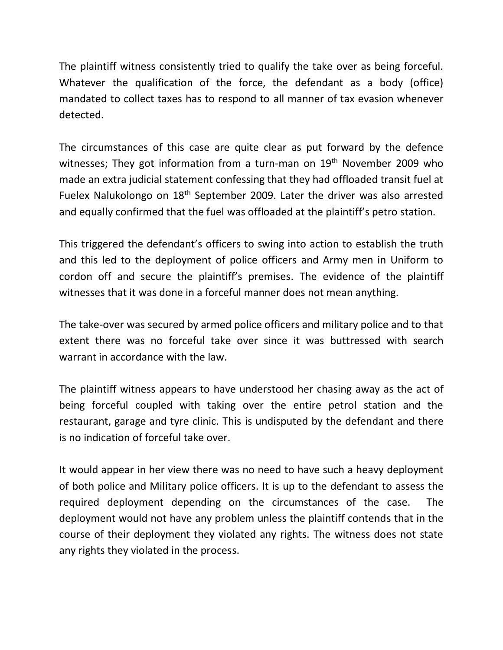The plaintiff witness consistently tried to qualify the take over as being forceful. Whatever the qualification of the force, the defendant as a body (office) mandated to collect taxes has to respond to all manner of tax evasion whenever detected.

The circumstances of this case are quite clear as put forward by the defence witnesses; They got information from a turn-man on 19<sup>th</sup> November 2009 who made an extra judicial statement confessing that they had offloaded transit fuel at Fuelex Nalukolongo on 18<sup>th</sup> September 2009. Later the driver was also arrested and equally confirmed that the fuel was offloaded at the plaintiff's petro station.

This triggered the defendant's officers to swing into action to establish the truth and this led to the deployment of police officers and Army men in Uniform to cordon off and secure the plaintiff's premises. The evidence of the plaintiff witnesses that it was done in a forceful manner does not mean anything.

The take-over was secured by armed police officers and military police and to that extent there was no forceful take over since it was buttressed with search warrant in accordance with the law.

The plaintiff witness appears to have understood her chasing away as the act of being forceful coupled with taking over the entire petrol station and the restaurant, garage and tyre clinic. This is undisputed by the defendant and there is no indication of forceful take over.

It would appear in her view there was no need to have such a heavy deployment of both police and Military police officers. It is up to the defendant to assess the required deployment depending on the circumstances of the case. The deployment would not have any problem unless the plaintiff contends that in the course of their deployment they violated any rights. The witness does not state any rights they violated in the process.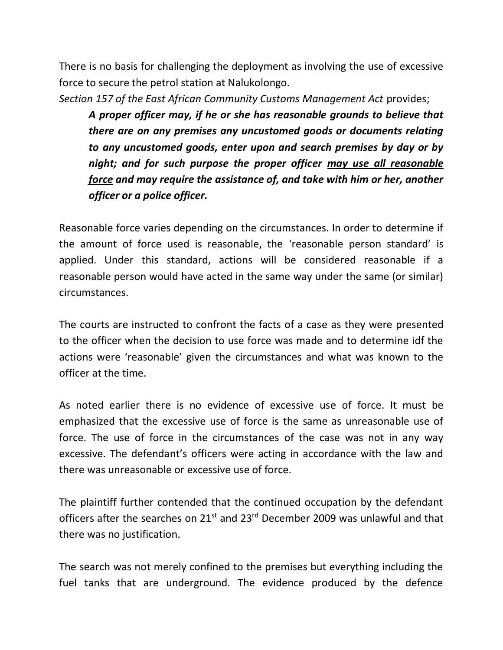There is no basis for challenging the deployment as involving the use of excessive force to secure the petrol station at Nalukolongo.

*Section 157 of the East African Community Customs Management Act* provides;

*A proper officer may, if he or she has reasonable grounds to believe that there are on any premises any uncustomed goods or documents relating to any uncustomed goods, enter upon and search premises by day or by night; and for such purpose the proper officer may use all reasonable force and may require the assistance of, and take with him or her, another officer or a police officer.*

Reasonable force varies depending on the circumstances. In order to determine if the amount of force used is reasonable, the 'reasonable person standard' is applied. Under this standard, actions will be considered reasonable if a reasonable person would have acted in the same way under the same (or similar) circumstances.

The courts are instructed to confront the facts of a case as they were presented to the officer when the decision to use force was made and to determine idf the actions were 'reasonable' given the circumstances and what was known to the officer at the time.

As noted earlier there is no evidence of excessive use of force. It must be emphasized that the excessive use of force is the same as unreasonable use of force. The use of force in the circumstances of the case was not in any way excessive. The defendant's officers were acting in accordance with the law and there was unreasonable or excessive use of force.

The plaintiff further contended that the continued occupation by the defendant officers after the searches on 21<sup>st</sup> and 23<sup>rd</sup> December 2009 was unlawful and that there was no justification.

The search was not merely confined to the premises but everything including the fuel tanks that are underground. The evidence produced by the defence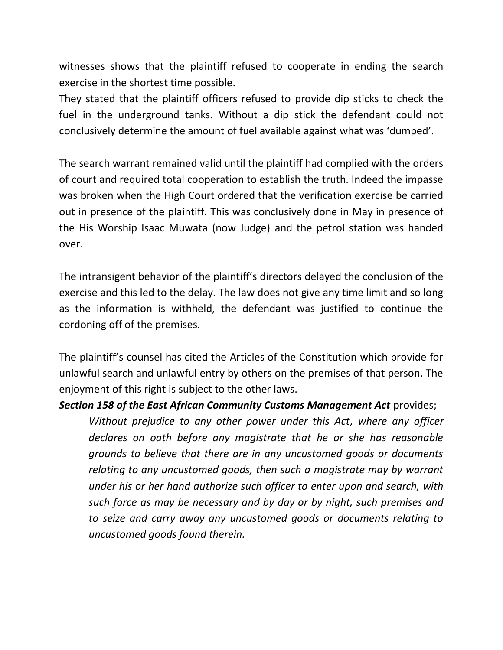witnesses shows that the plaintiff refused to cooperate in ending the search exercise in the shortest time possible.

They stated that the plaintiff officers refused to provide dip sticks to check the fuel in the underground tanks. Without a dip stick the defendant could not conclusively determine the amount of fuel available against what was 'dumped'.

The search warrant remained valid until the plaintiff had complied with the orders of court and required total cooperation to establish the truth. Indeed the impasse was broken when the High Court ordered that the verification exercise be carried out in presence of the plaintiff. This was conclusively done in May in presence of the His Worship Isaac Muwata (now Judge) and the petrol station was handed over.

The intransigent behavior of the plaintiff's directors delayed the conclusion of the exercise and this led to the delay. The law does not give any time limit and so long as the information is withheld, the defendant was justified to continue the cordoning off of the premises.

The plaintiff's counsel has cited the Articles of the Constitution which provide for unlawful search and unlawful entry by others on the premises of that person. The enjoyment of this right is subject to the other laws.

#### *Section 158 of the East African Community Customs Management Act* provides;

*Without prejudice to any other power under this Act, where any officer declares on oath before any magistrate that he or she has reasonable grounds to believe that there are in any uncustomed goods or documents relating to any uncustomed goods, then such a magistrate may by warrant under his or her hand authorize such officer to enter upon and search, with such force as may be necessary and by day or by night, such premises and to seize and carry away any uncustomed goods or documents relating to uncustomed goods found therein.*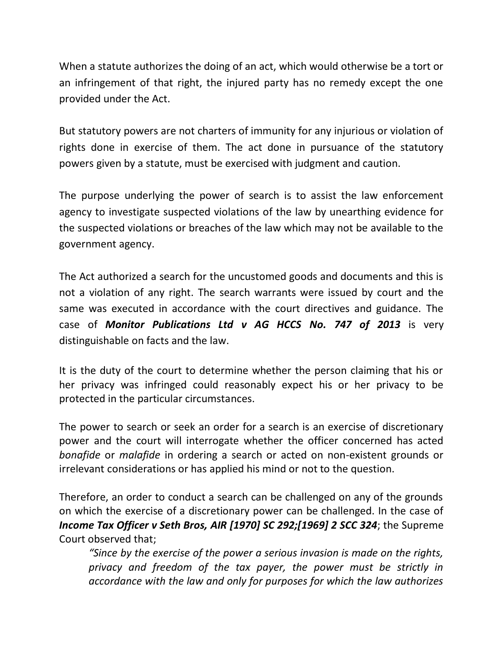When a statute authorizes the doing of an act, which would otherwise be a tort or an infringement of that right, the injured party has no remedy except the one provided under the Act.

But statutory powers are not charters of immunity for any injurious or violation of rights done in exercise of them. The act done in pursuance of the statutory powers given by a statute, must be exercised with judgment and caution.

The purpose underlying the power of search is to assist the law enforcement agency to investigate suspected violations of the law by unearthing evidence for the suspected violations or breaches of the law which may not be available to the government agency.

The Act authorized a search for the uncustomed goods and documents and this is not a violation of any right. The search warrants were issued by court and the same was executed in accordance with the court directives and guidance. The case of *Monitor Publications Ltd v AG HCCS No. 747 of 2013* is very distinguishable on facts and the law.

It is the duty of the court to determine whether the person claiming that his or her privacy was infringed could reasonably expect his or her privacy to be protected in the particular circumstances.

The power to search or seek an order for a search is an exercise of discretionary power and the court will interrogate whether the officer concerned has acted *bonafide* or *malafide* in ordering a search or acted on non-existent grounds or irrelevant considerations or has applied his mind or not to the question.

Therefore, an order to conduct a search can be challenged on any of the grounds on which the exercise of a discretionary power can be challenged. In the case of *Income Tax Officer v Seth Bros, AIR [1970] SC 292;[1969] 2 SCC 324*; the Supreme Court observed that;

*"Since by the exercise of the power a serious invasion is made on the rights, privacy and freedom of the tax payer, the power must be strictly in accordance with the law and only for purposes for which the law authorizes*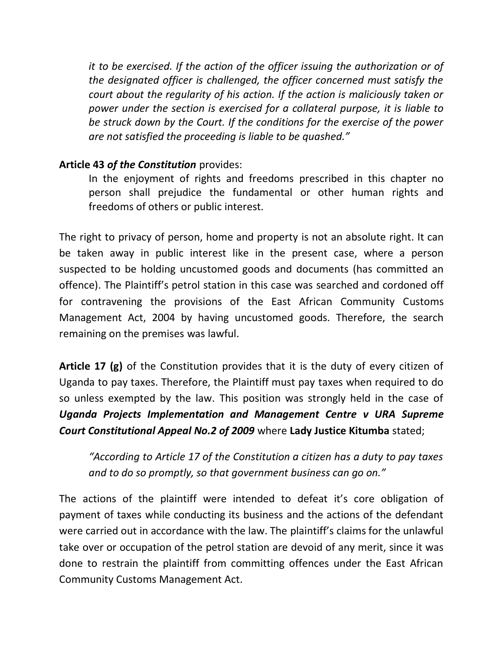*it to be exercised. If the action of the officer issuing the authorization or of the designated officer is challenged, the officer concerned must satisfy the court about the regularity of his action. If the action is maliciously taken or power under the section is exercised for a collateral purpose, it is liable to be struck down by the Court. If the conditions for the exercise of the power are not satisfied the proceeding is liable to be quashed."*

## **Article 43** *of the Constitution* provides:

In the enjoyment of rights and freedoms prescribed in this chapter no person shall prejudice the fundamental or other human rights and freedoms of others or public interest.

The right to privacy of person, home and property is not an absolute right. It can be taken away in public interest like in the present case, where a person suspected to be holding uncustomed goods and documents (has committed an offence). The Plaintiff's petrol station in this case was searched and cordoned off for contravening the provisions of the East African Community Customs Management Act, 2004 by having uncustomed goods. Therefore, the search remaining on the premises was lawful.

**Article 17 (g)** of the Constitution provides that it is the duty of every citizen of Uganda to pay taxes. Therefore, the Plaintiff must pay taxes when required to do so unless exempted by the law. This position was strongly held in the case of *Uganda Projects Implementation and Management Centre v URA Supreme Court Constitutional Appeal No.2 of 2009* where **Lady Justice Kitumba** stated;

*"According to Article 17 of the Constitution a citizen has a duty to pay taxes and to do so promptly, so that government business can go on."* 

The actions of the plaintiff were intended to defeat it's core obligation of payment of taxes while conducting its business and the actions of the defendant were carried out in accordance with the law. The plaintiff's claims for the unlawful take over or occupation of the petrol station are devoid of any merit, since it was done to restrain the plaintiff from committing offences under the East African Community Customs Management Act.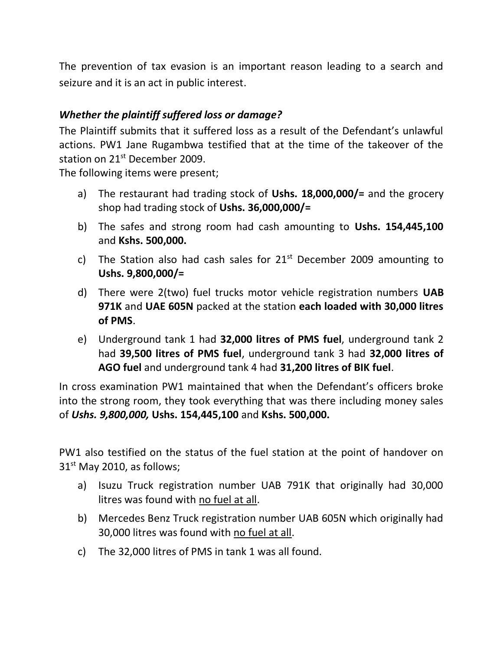The prevention of tax evasion is an important reason leading to a search and seizure and it is an act in public interest.

# *Whether the plaintiff suffered loss or damage?*

The Plaintiff submits that it suffered loss as a result of the Defendant's unlawful actions. PW1 Jane Rugambwa testified that at the time of the takeover of the station on 21<sup>st</sup> December 2009.

The following items were present;

- a) The restaurant had trading stock of **Ushs. 18,000,000/=** and the grocery shop had trading stock of **Ushs. 36,000,000/=**
- b) The safes and strong room had cash amounting to **Ushs. 154,445,100**  and **Kshs. 500,000.**
- c) The Station also had cash sales for  $21<sup>st</sup>$  December 2009 amounting to **Ushs. 9,800,000/=**
- d) There were 2(two) fuel trucks motor vehicle registration numbers **UAB 971K** and **UAE 605N** packed at the station **each loaded with 30,000 litres of PMS**.
- e) Underground tank 1 had **32,000 litres of PMS fuel**, underground tank 2 had **39,500 litres of PMS fuel**, underground tank 3 had **32,000 litres of AGO fuel** and underground tank 4 had **31,200 litres of BIK fuel**.

In cross examination PW1 maintained that when the Defendant's officers broke into the strong room, they took everything that was there including money sales of *Ushs. 9,800,000,* **Ushs. 154,445,100** and **Kshs. 500,000.**

PW1 also testified on the status of the fuel station at the point of handover on 31<sup>st</sup> May 2010, as follows;

- a) Isuzu Truck registration number UAB 791K that originally had 30,000 litres was found with no fuel at all.
- b) Mercedes Benz Truck registration number UAB 605N which originally had 30,000 litres was found with no fuel at all.
- c) The 32,000 litres of PMS in tank 1 was all found.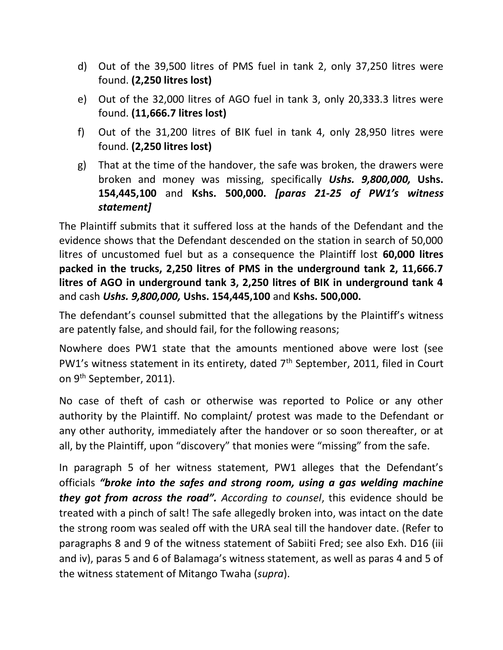- d) Out of the 39,500 litres of PMS fuel in tank 2, only 37,250 litres were found. **(2,250 litres lost)**
- e) Out of the 32,000 litres of AGO fuel in tank 3, only 20,333.3 litres were found. **(11,666.7 litres lost)**
- f) Out of the 31,200 litres of BIK fuel in tank 4, only 28,950 litres were found. **(2,250 litres lost)**
- g) That at the time of the handover, the safe was broken, the drawers were broken and money was missing, specifically *Ushs. 9,800,000,* **Ushs. 154,445,100** and **Kshs. 500,000.** *[paras 21-25 of PW1's witness statement]*

The Plaintiff submits that it suffered loss at the hands of the Defendant and the evidence shows that the Defendant descended on the station in search of 50,000 litres of uncustomed fuel but as a consequence the Plaintiff lost **60,000 litres packed in the trucks, 2,250 litres of PMS in the underground tank 2, 11,666.7 litres of AGO in underground tank 3, 2,250 litres of BIK in underground tank 4** and cash *Ushs. 9,800,000,* **Ushs. 154,445,100** and **Kshs. 500,000.**

The defendant's counsel submitted that the allegations by the Plaintiff's witness are patently false, and should fail, for the following reasons;

Nowhere does PW1 state that the amounts mentioned above were lost (see PW1's witness statement in its entirety, dated 7<sup>th</sup> September, 2011, filed in Court on 9<sup>th</sup> September, 2011).

No case of theft of cash or otherwise was reported to Police or any other authority by the Plaintiff. No complaint/ protest was made to the Defendant or any other authority, immediately after the handover or so soon thereafter, or at all, by the Plaintiff, upon "discovery" that monies were "missing" from the safe.

In paragraph 5 of her witness statement, PW1 alleges that the Defendant's officials *"broke into the safes and strong room, using a gas welding machine they got from across the road". According to counsel*, this evidence should be treated with a pinch of salt! The safe allegedly broken into, was intact on the date the strong room was sealed off with the URA seal till the handover date. (Refer to paragraphs 8 and 9 of the witness statement of Sabiiti Fred; see also Exh. D16 (iii and iv), paras 5 and 6 of Balamaga's witness statement, as well as paras 4 and 5 of the witness statement of Mitango Twaha (*supra*).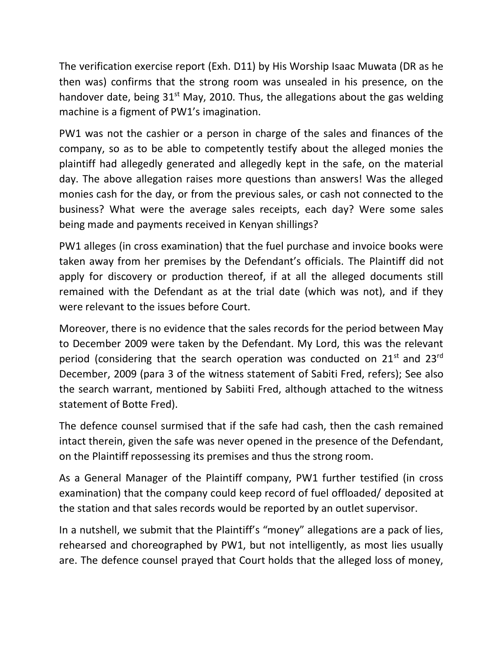The verification exercise report (Exh. D11) by His Worship Isaac Muwata (DR as he then was) confirms that the strong room was unsealed in his presence, on the handover date, being  $31^{st}$  May, 2010. Thus, the allegations about the gas welding machine is a figment of PW1's imagination.

PW1 was not the cashier or a person in charge of the sales and finances of the company, so as to be able to competently testify about the alleged monies the plaintiff had allegedly generated and allegedly kept in the safe, on the material day. The above allegation raises more questions than answers! Was the alleged monies cash for the day, or from the previous sales, or cash not connected to the business? What were the average sales receipts, each day? Were some sales being made and payments received in Kenyan shillings?

PW1 alleges (in cross examination) that the fuel purchase and invoice books were taken away from her premises by the Defendant's officials. The Plaintiff did not apply for discovery or production thereof, if at all the alleged documents still remained with the Defendant as at the trial date (which was not), and if they were relevant to the issues before Court.

Moreover, there is no evidence that the sales records for the period between May to December 2009 were taken by the Defendant. My Lord, this was the relevant period (considering that the search operation was conducted on  $21<sup>st</sup>$  and  $23<sup>rd</sup>$ December, 2009 (para 3 of the witness statement of Sabiti Fred, refers); See also the search warrant, mentioned by Sabiiti Fred, although attached to the witness statement of Botte Fred).

The defence counsel surmised that if the safe had cash, then the cash remained intact therein, given the safe was never opened in the presence of the Defendant, on the Plaintiff repossessing its premises and thus the strong room.

As a General Manager of the Plaintiff company, PW1 further testified (in cross examination) that the company could keep record of fuel offloaded/ deposited at the station and that sales records would be reported by an outlet supervisor.

In a nutshell, we submit that the Plaintiff's "money" allegations are a pack of lies, rehearsed and choreographed by PW1, but not intelligently, as most lies usually are. The defence counsel prayed that Court holds that the alleged loss of money,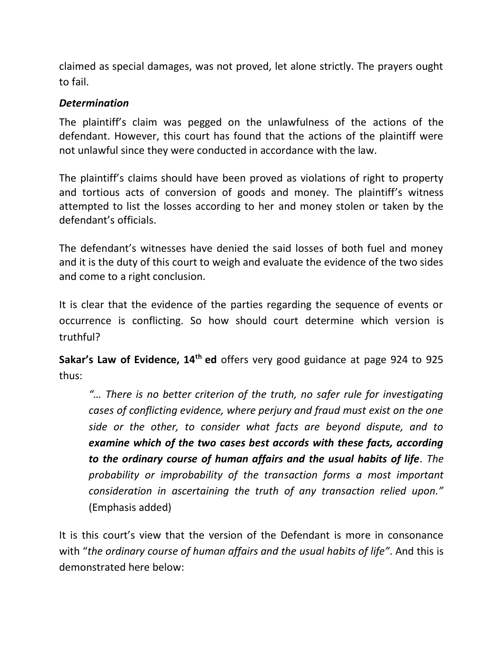claimed as special damages, was not proved, let alone strictly. The prayers ought to fail.

## *Determination*

The plaintiff's claim was pegged on the unlawfulness of the actions of the defendant. However, this court has found that the actions of the plaintiff were not unlawful since they were conducted in accordance with the law.

The plaintiff's claims should have been proved as violations of right to property and tortious acts of conversion of goods and money. The plaintiff's witness attempted to list the losses according to her and money stolen or taken by the defendant's officials.

The defendant's witnesses have denied the said losses of both fuel and money and it is the duty of this court to weigh and evaluate the evidence of the two sides and come to a right conclusion.

It is clear that the evidence of the parties regarding the sequence of events or occurrence is conflicting. So how should court determine which version is truthful?

**Sakar's Law of Evidence, 14th ed** offers very good guidance at page 924 to 925 thus:

*"… There is no better criterion of the truth, no safer rule for investigating cases of conflicting evidence, where perjury and fraud must exist on the one side or the other, to consider what facts are beyond dispute, and to examine which of the two cases best accords with these facts, according to the ordinary course of human affairs and the usual habits of life. The probability or improbability of the transaction forms a most important consideration in ascertaining the truth of any transaction relied upon."*  (Emphasis added)

It is this court's view that the version of the Defendant is more in consonance with "*the ordinary course of human affairs and the usual habits of life"*. And this is demonstrated here below: